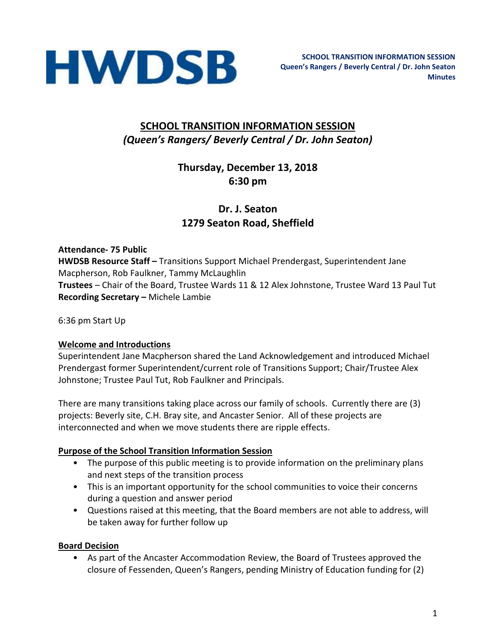

# **SCHOOL TRANSITION INFORMATION SESSION** *(Queen's Rangers/ Beverly Central / Dr. John Seaton)*

# **Thursday, December 13, 2018 6:30 pm**

# **Dr. J. Seaton 1279 Seaton Road, Sheffield**

**Attendance- 75 Public HWDSB Resource Staff –** Transitions Support Michael Prendergast, Superintendent Jane Macpherson, Rob Faulkner, Tammy McLaughlin **Trustees** – Chair of the Board, Trustee Wards 11 & 12 Alex Johnstone, Trustee Ward 13 Paul Tut **Recording Secretary –** Michele Lambie

6:36 pm Start Up

#### **Welcome and Introductions**

Superintendent Jane Macpherson shared the Land Acknowledgement and introduced Michael Prendergast former Superintendent/current role of Transitions Support; Chair/Trustee Alex Johnstone; Trustee Paul Tut, Rob Faulkner and Principals.

There are many transitions taking place across our family of schools. Currently there are (3) projects: Beverly site, C.H. Bray site, and Ancaster Senior. All of these projects are interconnected and when we move students there are ripple effects.

#### **Purpose of the School Transition Information Session**

- The purpose of this public meeting is to provide information on the preliminary plans and next steps of the transition process
- This is an important opportunity for the school communities to voice their concerns during a question and answer period
- Questions raised at this meeting, that the Board members are not able to address, will be taken away for further follow up

#### **Board Decision**

• As part of the Ancaster Accommodation Review, the Board of Trustees approved the closure of Fessenden, Queen's Rangers, pending Ministry of Education funding for (2)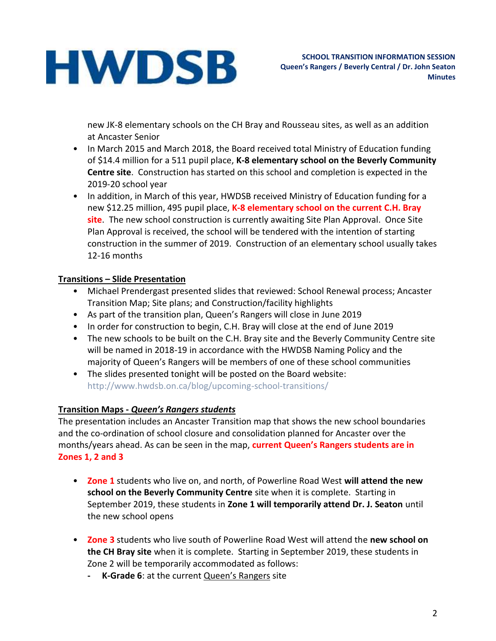new JK-8 elementary schools on the CH Bray and Rousseau sites, as well as an addition at Ancaster Senior

- In March 2015 and March 2018, the Board received total Ministry of Education funding of \$14.4 million for a 511 pupil place, **K-8 elementary school on the Beverly Community Centre site**. Construction has started on this school and completion is expected in the 2019-20 school year
- In addition, in March of this year, HWDSB received Ministry of Education funding for a new \$12.25 million, 495 pupil place, **K-8 elementary school on the current C.H. Bray site**. The new school construction is currently awaiting Site Plan Approval. Once Site Plan Approval is received, the school will be tendered with the intention of starting construction in the summer of 2019. Construction of an elementary school usually takes 12-16 months

#### **Transitions – Slide Presentation**

- Michael Prendergast presented slides that reviewed: School Renewal process; Ancaster Transition Map; Site plans; and Construction/facility highlights
- As part of the transition plan, Queen's Rangers will close in June 2019
- In order for construction to begin, C.H. Bray will close at the end of June 2019
- The new schools to be built on the C.H. Bray site and the Beverly Community Centre site will be named in 2018-19 in accordance with the HWDSB Naming Policy and the majority of Queen's Rangers will be members of one of these school communities
- The slides presented tonight will be posted on the Board website: http://www.hwdsb.on.ca/blog/upcoming-school-transitions/

# **Transition Maps -** *Queen's Rangers students*

The presentation includes an Ancaster Transition map that shows the new school boundaries and the co-ordination of school closure and consolidation planned for Ancaster over the months/years ahead. As can be seen in the map, **current Queen's Rangers students are in Zones 1, 2 and 3**

- **Zone 1** students who live on, and north, of Powerline Road West **will attend the new school on the Beverly Community Centre** site when it is complete. Starting in September 2019, these students in **Zone 1 will temporarily attend Dr. J. Seaton** until the new school opens
- **Zone 3** students who live south of Powerline Road West will attend the **new school on the CH Bray site** when it is complete. Starting in September 2019, these students in Zone 2 will be temporarily accommodated as follows:
	- **- K-Grade 6**: at the current Queen's Rangers site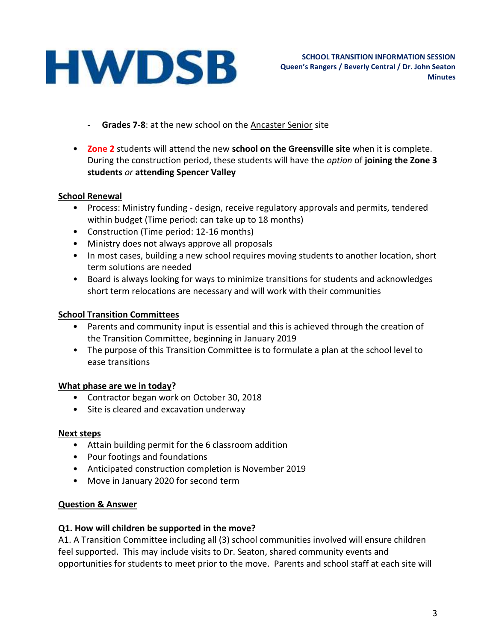- **- Grades 7-8**: at the new school on the Ancaster Senior site
- **Zone 2** students will attend the new **school on the Greensville site** when it is complete. During the construction period, these students will have the *option* of **joining the Zone 3 students** *or* **attending Spencer Valley**

#### **School Renewal**

- Process: Ministry funding design, receive regulatory approvals and permits, tendered within budget (Time period: can take up to 18 months)
- Construction (Time period: 12-16 months)
- Ministry does not always approve all proposals
- In most cases, building a new school requires moving students to another location, short term solutions are needed
- Board is always looking for ways to minimize transitions for students and acknowledges short term relocations are necessary and will work with their communities

#### **School Transition Committees**

- Parents and community input is essential and this is achieved through the creation of the Transition Committee, beginning in January 2019
- The purpose of this Transition Committee is to formulate a plan at the school level to ease transitions

#### **What phase are we in today?**

- Contractor began work on October 30, 2018
- Site is cleared and excavation underway

#### **Next steps**

- Attain building permit for the 6 classroom addition
- Pour footings and foundations
- Anticipated construction completion is November 2019
- Move in January 2020 for second term

#### **Question & Answer**

#### **Q1. How will children be supported in the move?**

A1. A Transition Committee including all (3) school communities involved will ensure children feel supported. This may include visits to Dr. Seaton, shared community events and opportunities for students to meet prior to the move. Parents and school staff at each site will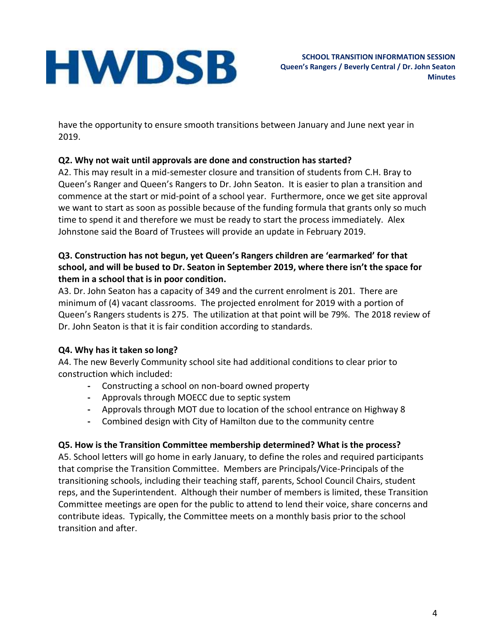have the opportunity to ensure smooth transitions between January and June next year in 2019.

# **Q2. Why not wait until approvals are done and construction has started?**

A2. This may result in a mid-semester closure and transition of students from C.H. Bray to Queen's Ranger and Queen's Rangers to Dr. John Seaton. It is easier to plan a transition and commence at the start or mid-point of a school year. Furthermore, once we get site approval we want to start as soon as possible because of the funding formula that grants only so much time to spend it and therefore we must be ready to start the process immediately. Alex Johnstone said the Board of Trustees will provide an update in February 2019.

#### **Q3. Construction has not begun, yet Queen's Rangers children are 'earmarked' for that school, and will be bused to Dr. Seaton in September 2019, where there isn't the space for them in a school that is in poor condition.**

A3. Dr. John Seaton has a capacity of 349 and the current enrolment is 201. There are minimum of (4) vacant classrooms. The projected enrolment for 2019 with a portion of Queen's Rangers students is 275. The utilization at that point will be 79%. The 2018 review of Dr. John Seaton is that it is fair condition according to standards.

# **Q4. Why has it taken so long?**

A4. The new Beverly Community school site had additional conditions to clear prior to construction which included:

- **-** Constructing a school on non-board owned property
- **-** Approvals through MOECC due to septic system
- **-** Approvals through MOT due to location of the school entrance on Highway 8
- **-** Combined design with City of Hamilton due to the community centre

# **Q5. How is the Transition Committee membership determined? What is the process?**

A5. School letters will go home in early January, to define the roles and required participants that comprise the Transition Committee. Members are Principals/Vice-Principals of the transitioning schools, including their teaching staff, parents, School Council Chairs, student reps, and the Superintendent. Although their number of members is limited, these Transition Committee meetings are open for the public to attend to lend their voice, share concerns and contribute ideas. Typically, the Committee meets on a monthly basis prior to the school transition and after.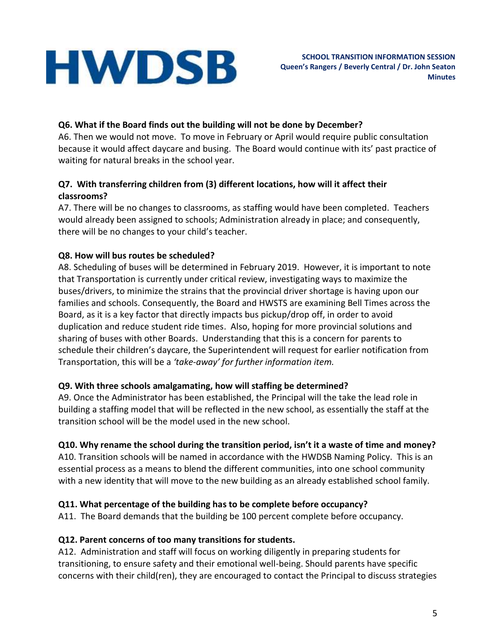## **Q6. What if the Board finds out the building will not be done by December?**

A6. Then we would not move. To move in February or April would require public consultation because it would affect daycare and busing. The Board would continue with its' past practice of waiting for natural breaks in the school year.

#### **Q7. With transferring children from (3) different locations, how will it affect their classrooms?**

A7. There will be no changes to classrooms, as staffing would have been completed. Teachers would already been assigned to schools; Administration already in place; and consequently, there will be no changes to your child's teacher.

#### **Q8. How will bus routes be scheduled?**

A8. Scheduling of buses will be determined in February 2019. However, it is important to note that Transportation is currently under critical review, investigating ways to maximize the buses/drivers, to minimize the strains that the provincial driver shortage is having upon our families and schools. Consequently, the Board and HWSTS are examining Bell Times across the Board, as it is a key factor that directly impacts bus pickup/drop off, in order to avoid duplication and reduce student ride times. Also, hoping for more provincial solutions and sharing of buses with other Boards. Understanding that this is a concern for parents to schedule their children's daycare, the Superintendent will request for earlier notification from Transportation, this will be a *'take-away' for further information item.*

#### **Q9. With three schools amalgamating, how will staffing be determined?**

A9. Once the Administrator has been established, the Principal will the take the lead role in building a staffing model that will be reflected in the new school, as essentially the staff at the transition school will be the model used in the new school.

# **Q10. Why rename the school during the transition period, isn't it a waste of time and money?**

A10. Transition schools will be named in accordance with the HWDSB Naming Policy. This is an essential process as a means to blend the different communities, into one school community with a new identity that will move to the new building as an already established school family.

# **Q11. What percentage of the building has to be complete before occupancy?**

A11. The Board demands that the building be 100 percent complete before occupancy.

#### **Q12. Parent concerns of too many transitions for students.**

A12. Administration and staff will focus on working diligently in preparing students for transitioning, to ensure safety and their emotional well-being. Should parents have specific concerns with their child(ren), they are encouraged to contact the Principal to discuss strategies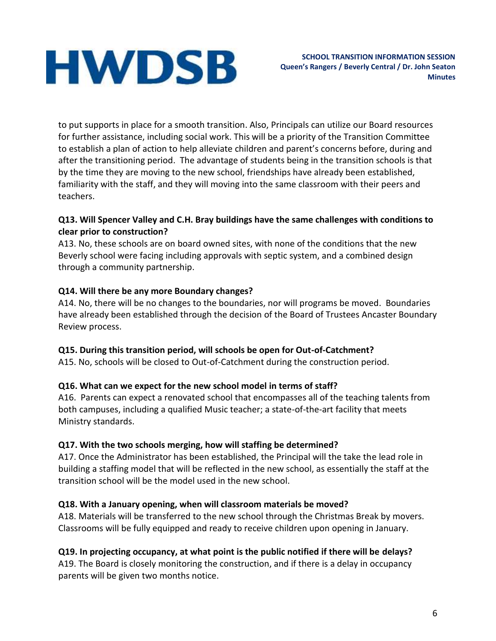to put supports in place for a smooth transition. Also, Principals can utilize our Board resources for further assistance, including social work. This will be a priority of the Transition Committee to establish a plan of action to help alleviate children and parent's concerns before, during and after the transitioning period. The advantage of students being in the transition schools is that by the time they are moving to the new school, friendships have already been established, familiarity with the staff, and they will moving into the same classroom with their peers and teachers.

#### **Q13. Will Spencer Valley and C.H. Bray buildings have the same challenges with conditions to clear prior to construction?**

A13. No, these schools are on board owned sites, with none of the conditions that the new Beverly school were facing including approvals with septic system, and a combined design through a community partnership.

#### **Q14. Will there be any more Boundary changes?**

A14. No, there will be no changes to the boundaries, nor will programs be moved. Boundaries have already been established through the decision of the Board of Trustees Ancaster Boundary Review process.

#### **Q15. During this transition period, will schools be open for Out-of-Catchment?**

A15. No, schools will be closed to Out-of-Catchment during the construction period.

# **Q16. What can we expect for the new school model in terms of staff?**

A16. Parents can expect a renovated school that encompasses all of the teaching talents from both campuses, including a qualified Music teacher; a state-of-the-art facility that meets Ministry standards.

#### **Q17. With the two schools merging, how will staffing be determined?**

A17. Once the Administrator has been established, the Principal will the take the lead role in building a staffing model that will be reflected in the new school, as essentially the staff at the transition school will be the model used in the new school.

# **Q18. With a January opening, when will classroom materials be moved?**

A18. Materials will be transferred to the new school through the Christmas Break by movers. Classrooms will be fully equipped and ready to receive children upon opening in January.

# **Q19. In projecting occupancy, at what point is the public notified if there will be delays?**

A19. The Board is closely monitoring the construction, and if there is a delay in occupancy parents will be given two months notice.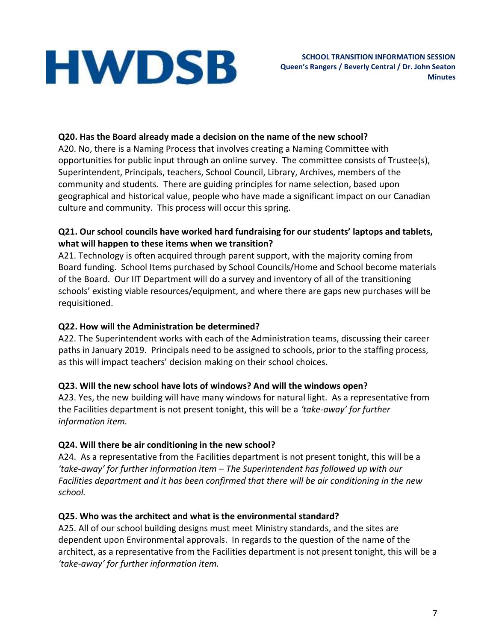### **Q20. Has the Board already made a decision on the name of the new school?**

A20. No, there is a Naming Process that involves creating a Naming Committee with opportunities for public input through an online survey. The committee consists of Trustee(s), Superintendent, Principals, teachers, School Council, Library, Archives, members of the community and students. There are guiding principles for name selection, based upon geographical and historical value, people who have made a significant impact on our Canadian culture and community. This process will occur this spring.

#### **Q21. Our school councils have worked hard fundraising for our students' laptops and tablets, what will happen to these items when we transition?**

A21. Technology is often acquired through parent support, with the majority coming from Board funding. School Items purchased by School Councils/Home and School become materials of the Board. Our IIT Department will do a survey and inventory of all of the transitioning schools' existing viable resources/equipment, and where there are gaps new purchases will be requisitioned.

## **Q22. How will the Administration be determined?**

A22. The Superintendent works with each of the Administration teams, discussing their career paths in January 2019. Principals need to be assigned to schools, prior to the staffing process, as this will impact teachers' decision making on their school choices.

# **Q23. Will the new school have lots of windows? And will the windows open?**

A23. Yes, the new building will have many windows for natural light. As a representative from the Facilities department is not present tonight, this will be a *'take-away' for further information item.*

# **Q24. Will there be air conditioning in the new school?**

A24. As a representative from the Facilities department is not present tonight, this will be a *'take-away' for further information item – The Superintendent has followed up with our Facilities department and it has been confirmed that there will be air conditioning in the new school.*

#### **Q25. Who was the architect and what is the environmental standard?**

A25. All of our school building designs must meet Ministry standards, and the sites are dependent upon Environmental approvals. In regards to the question of the name of the architect, as a representative from the Facilities department is not present tonight, this will be a *'take-away' for further information item.*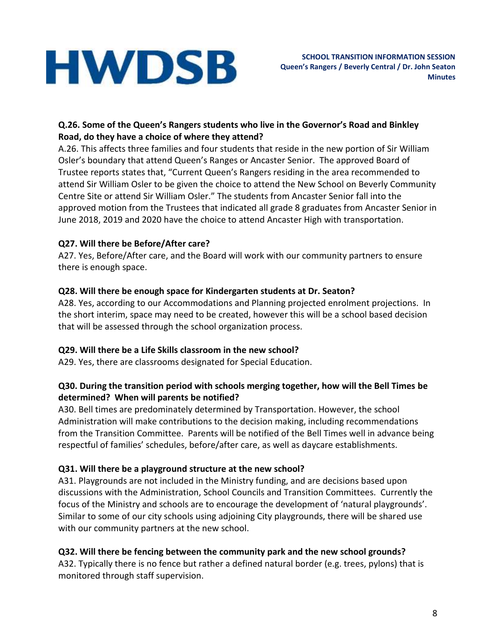### **Q.26. Some of the Queen's Rangers students who live in the Governor's Road and Binkley Road, do they have a choice of where they attend?**

A.26. This affects three families and four students that reside in the new portion of Sir William Osler's boundary that attend Queen's Ranges or Ancaster Senior. The approved Board of Trustee reports states that, "Current Queen's Rangers residing in the area recommended to attend Sir William Osler to be given the choice to attend the New School on Beverly Community Centre Site or attend Sir William Osler." The students from Ancaster Senior fall into the approved motion from the Trustees that indicated all grade 8 graduates from Ancaster Senior in June 2018, 2019 and 2020 have the choice to attend Ancaster High with transportation.

### **Q27. Will there be Before/After care?**

A27. Yes, Before/After care, and the Board will work with our community partners to ensure there is enough space.

### **Q28. Will there be enough space for Kindergarten students at Dr. Seaton?**

A28. Yes, according to our Accommodations and Planning projected enrolment projections. In the short interim, space may need to be created, however this will be a school based decision that will be assessed through the school organization process.

# **Q29. Will there be a Life Skills classroom in the new school?**

A29. Yes, there are classrooms designated for Special Education.

#### **Q30. During the transition period with schools merging together, how will the Bell Times be determined? When will parents be notified?**

A30. Bell times are predominately determined by Transportation. However, the school Administration will make contributions to the decision making, including recommendations from the Transition Committee. Parents will be notified of the Bell Times well in advance being respectful of families' schedules, before/after care, as well as daycare establishments.

# **Q31. Will there be a playground structure at the new school?**

A31. Playgrounds are not included in the Ministry funding, and are decisions based upon discussions with the Administration, School Councils and Transition Committees. Currently the focus of the Ministry and schools are to encourage the development of 'natural playgrounds'. Similar to some of our city schools using adjoining City playgrounds, there will be shared use with our community partners at the new school.

# **Q32. Will there be fencing between the community park and the new school grounds?**

A32. Typically there is no fence but rather a defined natural border (e.g. trees, pylons) that is monitored through staff supervision.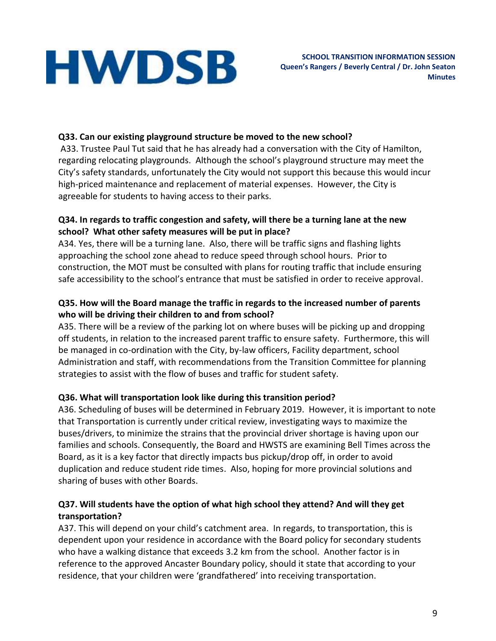### **Q33. Can our existing playground structure be moved to the new school?**

A33. Trustee Paul Tut said that he has already had a conversation with the City of Hamilton, regarding relocating playgrounds. Although the school's playground structure may meet the City's safety standards, unfortunately the City would not support this because this would incur high-priced maintenance and replacement of material expenses. However, the City is agreeable for students to having access to their parks.

#### **Q34. In regards to traffic congestion and safety, will there be a turning lane at the new school? What other safety measures will be put in place?**

A34. Yes, there will be a turning lane. Also, there will be traffic signs and flashing lights approaching the school zone ahead to reduce speed through school hours. Prior to construction, the MOT must be consulted with plans for routing traffic that include ensuring safe accessibility to the school's entrance that must be satisfied in order to receive approval.

#### **Q35. How will the Board manage the traffic in regards to the increased number of parents who will be driving their children to and from school?**

A35. There will be a review of the parking lot on where buses will be picking up and dropping off students, in relation to the increased parent traffic to ensure safety. Furthermore, this will be managed in co-ordination with the City, by-law officers, Facility department, school Administration and staff, with recommendations from the Transition Committee for planning strategies to assist with the flow of buses and traffic for student safety.

#### **Q36. What will transportation look like during this transition period?**

A36. Scheduling of buses will be determined in February 2019. However, it is important to note that Transportation is currently under critical review, investigating ways to maximize the buses/drivers, to minimize the strains that the provincial driver shortage is having upon our families and schools. Consequently, the Board and HWSTS are examining Bell Times across the Board, as it is a key factor that directly impacts bus pickup/drop off, in order to avoid duplication and reduce student ride times. Also, hoping for more provincial solutions and sharing of buses with other Boards.

#### **Q37. Will students have the option of what high school they attend? And will they get transportation?**

A37. This will depend on your child's catchment area. In regards, to transportation, this is dependent upon your residence in accordance with the Board policy for secondary students who have a walking distance that exceeds 3.2 km from the school. Another factor is in reference to the approved Ancaster Boundary policy, should it state that according to your residence, that your children were 'grandfathered' into receiving transportation.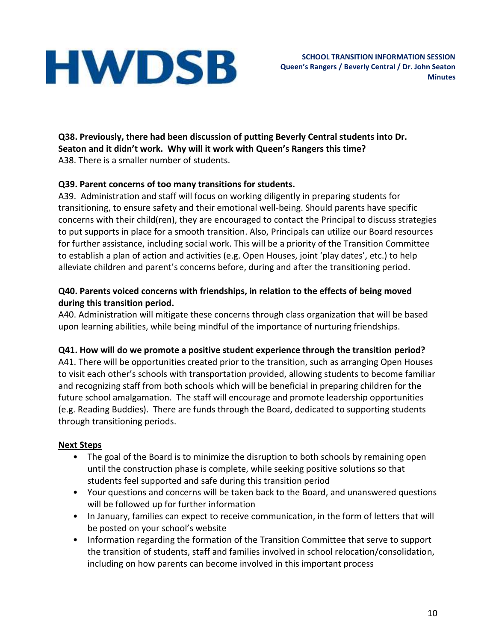**Q38. Previously, there had been discussion of putting Beverly Central students into Dr. Seaton and it didn't work. Why will it work with Queen's Rangers this time?** A38. There is a smaller number of students.

### **Q39. Parent concerns of too many transitions for students.**

A39. Administration and staff will focus on working diligently in preparing students for transitioning, to ensure safety and their emotional well-being. Should parents have specific concerns with their child(ren), they are encouraged to contact the Principal to discuss strategies to put supports in place for a smooth transition. Also, Principals can utilize our Board resources for further assistance, including social work. This will be a priority of the Transition Committee to establish a plan of action and activities (e.g. Open Houses, joint 'play dates', etc.) to help alleviate children and parent's concerns before, during and after the transitioning period.

#### **Q40. Parents voiced concerns with friendships, in relation to the effects of being moved during this transition period.**

A40. Administration will mitigate these concerns through class organization that will be based upon learning abilities, while being mindful of the importance of nurturing friendships.

#### **Q41. How will do we promote a positive student experience through the transition period?**

A41. There will be opportunities created prior to the transition, such as arranging Open Houses to visit each other's schools with transportation provided, allowing students to become familiar and recognizing staff from both schools which will be beneficial in preparing children for the future school amalgamation. The staff will encourage and promote leadership opportunities (e.g. Reading Buddies). There are funds through the Board, dedicated to supporting students through transitioning periods.

#### **Next Steps**

- The goal of the Board is to minimize the disruption to both schools by remaining open until the construction phase is complete, while seeking positive solutions so that students feel supported and safe during this transition period
- Your questions and concerns will be taken back to the Board, and unanswered questions will be followed up for further information
- In January, families can expect to receive communication, in the form of letters that will be posted on your school's website
- Information regarding the formation of the Transition Committee that serve to support the transition of students, staff and families involved in school relocation/consolidation, including on how parents can become involved in this important process